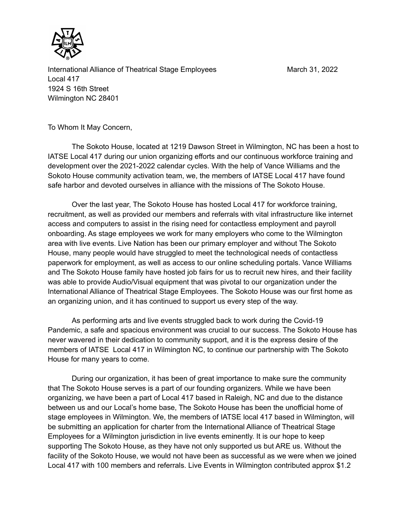

International Alliance of Theatrical Stage Employees March 31, 2022 Local 417 1924 S 16th Street Wilmington NC 28401

To Whom It May Concern,

The Sokoto House, located at 1219 Dawson Street in Wilmington, NC has been a host to IATSE Local 417 during our union organizing efforts and our continuous workforce training and development over the 2021-2022 calendar cycles. With the help of Vance Williams and the Sokoto House community activation team, we, the members of IATSE Local 417 have found safe harbor and devoted ourselves in alliance with the missions of The Sokoto House.

Over the last year, The Sokoto House has hosted Local 417 for workforce training, recruitment, as well as provided our members and referrals with vital infrastructure like internet access and computers to assist in the rising need for contactless employment and payroll onboarding. As stage employees we work for many employers who come to the Wilmington area with live events. Live Nation has been our primary employer and without The Sokoto House, many people would have struggled to meet the technological needs of contactless paperwork for employment, as well as access to our online scheduling portals. Vance Williams and The Sokoto House family have hosted job fairs for us to recruit new hires, and their facility was able to provide Audio/Visual equipment that was pivotal to our organization under the International Alliance of Theatrical Stage Employees. The Sokoto House was our first home as an organizing union, and it has continued to support us every step of the way.

As performing arts and live events struggled back to work during the Covid-19 Pandemic, a safe and spacious environment was crucial to our success. The Sokoto House has never wavered in their dedication to community support, and it is the express desire of the members of IATSE Local 417 in Wilmington NC, to continue our partnership with The Sokoto House for many years to come.

During our organization, it has been of great importance to make sure the community that The Sokoto House serves is a part of our founding organizers. While we have been organizing, we have been a part of Local 417 based in Raleigh, NC and due to the distance between us and our Local's home base, The Sokoto House has been the unofficial home of stage employees in Wilmington. We, the members of IATSE local 417 based in Wilmington, will be submitting an application for charter from the International Alliance of Theatrical Stage Employees for a Wilmington jurisdiction in live events eminently. It is our hope to keep supporting The Sokoto House, as they have not only supported us but ARE us. Without the facility of the Sokoto House, we would not have been as successful as we were when we joined Local 417 with 100 members and referrals. Live Events in Wilmington contributed approx \$1.2